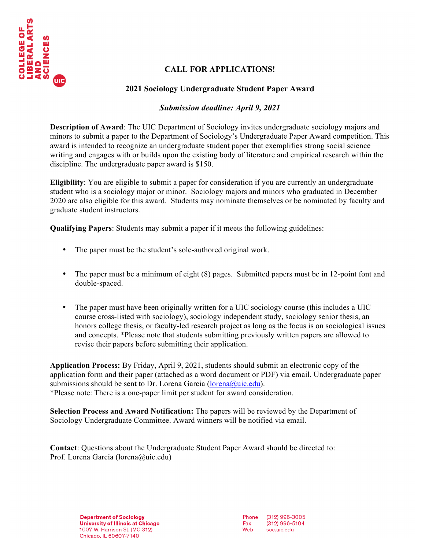

# **CALL FOR APPLICATIONS!**

# **2021 Sociology Undergraduate Student Paper Award**

### *Submission deadline: April 9, 2021*

**Description of Award**: The UIC Department of Sociology invites undergraduate sociology majors and minors to submit a paper to the Department of Sociology's Undergraduate Paper Award competition. This award is intended to recognize an undergraduate student paper that exemplifies strong social science writing and engages with or builds upon the existing body of literature and empirical research within the discipline. The undergraduate paper award is \$150.

**Eligibility**: You are eligible to submit a paper for consideration if you are currently an undergraduate student who is a sociology major or minor. Sociology majors and minors who graduated in December 2020 are also eligible for this award. Students may nominate themselves or be nominated by faculty and graduate student instructors.

**Qualifying Papers**: Students may submit a paper if it meets the following guidelines:

- The paper must be the student's sole-authored original work.
- The paper must be a minimum of eight (8) pages. Submitted papers must be in 12-point font and double-spaced.
- The paper must have been originally written for a UIC sociology course (this includes a UIC course cross-listed with sociology), sociology independent study, sociology senior thesis, an honors college thesis, or faculty-led research project as long as the focus is on sociological issues and concepts. \*Please note that students submitting previously written papers are allowed to revise their papers before submitting their application.

**Application Process:** By Friday, April 9, 2021, students should submit an electronic copy of the application form and their paper (attached as a word document or PDF) via email. Undergraduate paper submissions should be sent to Dr. Lorena Garcia (lorena@uic.edu). \*Please note: There is a one-paper limit per student for award consideration.

**Selection Process and Award Notification:** The papers will be reviewed by the Department of Sociology Undergraduate Committee. Award winners will be notified via email.

**Contact**: Questions about the Undergraduate Student Paper Award should be directed to: Prof. Lorena Garcia (lorena@uic.edu)

> **Department of Sociology** University of Illinois at Chicago 1007 W. Harrison St. (MC 312) Chicago, IL 60607-7140

Phone (312) 996-3005  $(312)$  996-5104 Fax Web soc.uic.edu